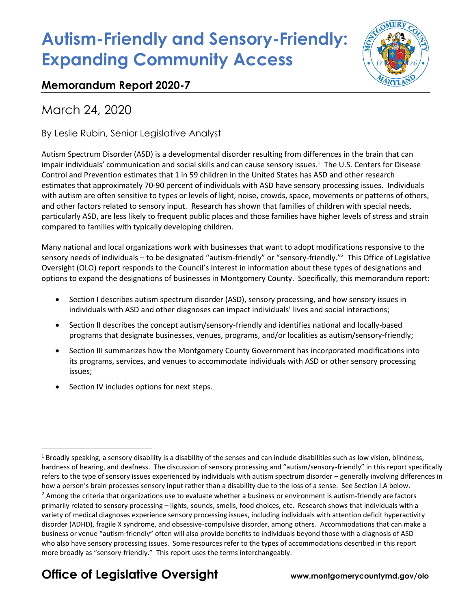

### **Memorandum Report 2020-7**

March 24, 2020

By Leslie Rubin, Senior Legislative Analyst

Autism Spectrum Disorder (ASD) is a developmental disorder resulting from differences in the brain that can impair individuals' communication and social skills and can cause sensory issues. 1 The U.S. Centers for Disease Control and Prevention estimates that 1 in 59 children in the United States has ASD and other research estimates that approximately 70-90 percent of individuals with ASD have sensory processing issues. Individuals with autism are often sensitive to types or levels of light, noise, crowds, space, movements or patterns of others, and other factors related to sensory input. Research has shown that families of children with special needs, particularly ASD, are less likely to frequent public places and those families have higher levels of stress and strain compared to families with typically developing children.

Many national and local organizations work with businesses that want to adopt modifications responsive to the sensory needs of individuals – to be designated "autism-friendly" or "sensory-friendly."<sup>2</sup> This Office of Legislative Oversight (OLO) report responds to the Council's interest in information about these types of designations and options to expand the designations of businesses in Montgomery County. Specifically, this memorandum report:

- Section I describes autism spectrum disorder (ASD), sensory processing, and how sensory issues in individuals with ASD and other diagnoses can impact individuals' lives and social interactions;
- Section II describes the concept autism/sensory-friendly and identifies national and locally-based programs that designate businesses, venues, programs, and/or localities as autism/sensory-friendly;
- Section III summarizes how the Montgomery County Government has incorporated modifications into its programs, services, and venues to accommodate individuals with ASD or other sensory processing issues;
- Section IV includes options for next steps.

# **Office of Legislative Oversight www.montgomerycountymd.gov/olo**

 $1$  Broadly speaking, a sensory disability is a disability of the senses and can include disabilities such as low vision, blindness, hardness of hearing, and deafness. The discussion of sensory processing and "autism/sensory-friendly" in this report specifically refers to the type of sensory issues experienced by individuals with autism spectrum disorder – generally involving differences in how a person's brain processes sensory input rather than a disability due to the loss of a sense. See Section I.A below.  $<sup>2</sup>$  Among the criteria that organizations use to evaluate whether a business or environment is autism-friendly are factors</sup> primarily related to sensory processing – lights, sounds, smells, food choices, etc. Research shows that individuals with a variety of medical diagnoses experience sensory processing issues, including individuals with attention deficit hyperactivity disorder (ADHD), fragile X syndrome, and obsessive-compulsive disorder, among others. Accommodations that can make a business or venue "autism-friendly" often will also provide benefits to individuals beyond those with a diagnosis of ASD who also have sensory processing issues. Some resources refer to the types of accommodations described in this report more broadly as "sensory-friendly." This report uses the terms interchangeably.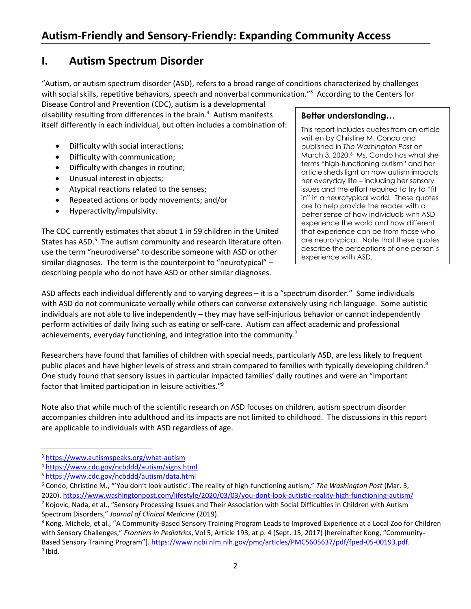### **I. Autism Spectrum Disorder**

"Autism, or autism spectrum disorder (ASD), refers to a broad range of conditions characterized by challenges with social skills, repetitive behaviors, speech and nonverbal communication."<sup>3</sup> According to the Centers for

Disease Control and Prevention (CDC), autism is a developmental disability resulting from differences in the brain.<sup>4</sup> Autism manifests itself differently in each individual, but often includes a combination of:

- Difficulty with social interactions;
- Difficulty with communication;
- Difficulty with changes in routine;
- Unusual interest in objects;
- Atypical reactions related to the senses;
- Repeated actions or body movements; and/or
- Hyperactivity/impulsivity.

The CDC currently estimates that about 1 in 59 children in the United States has ASD.<sup>5</sup> The autism community and research literature often use the term "neurodiverse" to describe someone with ASD or other similar diagnoses. The term is the counterpoint to "neurotypical" describing people who do not have ASD or other similar diagnoses.

#### **Better understanding…**

This report includes quotes from an article written by Christine M. Condo and published in *The Washington Post* on March 3, 2020.<sup>6</sup> Ms. Condo has what she terms "high-functioning autism" and her article sheds light on how autism impacts her everyday life – including her sensory issues and the effort required to try to "fit in" in a neurotypical world. These quotes are to help provide the reader with a better sense of how individuals with ASD experience the world and how different that experience can be from those who are neurotypical. Note that these quotes describe the perceptions of one person's experience with ASD.

ASD affects each individual differently and to varying degrees – it is a "spectrum disorder." Some individuals with ASD do not communicate verbally while others can converse extensively using rich language. Some autistic individuals are not able to live independently – they may have self-injurious behavior or cannot independently perform activities of daily living such as eating or self-care. Autism can affect academic and professional achievements, everyday functioning, and integration into the community.<sup>7</sup>

Researchers have found that families of children with special needs, particularly ASD, are less likely to frequent public places and have higher levels of stress and strain compared to families with typically developing children.<sup>8</sup> One study found that sensory issues in particular impacted families' daily routines and were an "important factor that limited participation in leisure activities." 9

Note also that while much of the scientific research on ASD focuses on children, autism spectrum disorder accompanies children into adulthood and its impacts are not limited to childhood. The discussions in this report are applicable to individuals with ASD regardless of age.

<sup>3</sup> <https://www.autismspeaks.org/what-autism>

<sup>4</sup> <https://www.cdc.gov/ncbddd/autism/signs.html>

<sup>5</sup> <https://www.cdc.gov/ncbddd/autism/data.html>

<sup>6</sup> Condo, Christine M., "'You don't look autistic': The reality of high-functioning autism," *The Washington Post* (Mar. 3, 2020).<https://www.washingtonpost.com/lifestyle/2020/03/03/you-dont-look-autistic-reality-high-functioning-autism/>  $7$  Kojovic, Nada, et al., "Sensory Processing Issues and Their Association with Social Difficulties in Children with Autism

Spectrum Disorders," *Journal of Clinical Medicine* (2019).

<sup>&</sup>lt;sup>8</sup> Kong, Michele, et al., "A Community-Based Sensory Training Program Leads to Improved Experience at a Local Zoo for Children with Sensory Challenges," *Frontiers in Pediatrics*, Vol 5, Article 193, at p. 4 (Sept. 15, 2017) [hereinafter Kong, "Community-Based Sensory Training Program"]. [https://www.ncbi.nlm.nih.gov/pmc/articles/PMC5605637/pdf/fped-05-00193.pdf.](https://www.ncbi.nlm.nih.gov/pmc/articles/PMC5605637/pdf/fped-05-00193.pdf) <sup>9</sup> Ibid.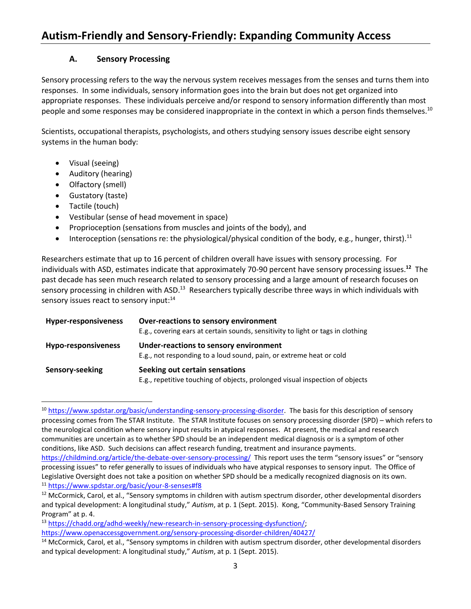#### **A. Sensory Processing**

Sensory processing refers to the way the nervous system receives messages from the senses and turns them into responses. In some individuals, sensory information goes into the brain but does not get organized into appropriate responses. These individuals perceive and/or respond to sensory information differently than most people and some responses may be considered inappropriate in the context in which a person finds themselves.<sup>10</sup>

Scientists, occupational therapists, psychologists, and others studying sensory issues describe eight sensory systems in the human body:

- Visual (seeing)
- Auditory (hearing)
- Olfactory (smell)
- Gustatory (taste)
- Tactile (touch)
- Vestibular (sense of head movement in space)
- Proprioception (sensations from muscles and joints of the body), and
- Interoception (sensations re: the physiological/physical condition of the body, e.g., hunger, thirst).<sup>11</sup>

Researchers estimate that up to 16 percent of children overall have issues with sensory processing. For individuals with ASD, estimates indicate that approximately 70-90 percent have sensory processing issues.**<sup>12</sup>** The past decade has seen much research related to sensory processing and a large amount of research focuses on sensory processing in children with ASD.<sup>13</sup> Researchers typically describe three ways in which individuals with sensory issues react to sensory input:<sup>14</sup>

| <b>Hyper-responsiveness</b> | Over-reactions to sensory environment<br>E.g., covering ears at certain sounds, sensitivity to light or tags in clothing |
|-----------------------------|--------------------------------------------------------------------------------------------------------------------------|
| <b>Hypo-responsiveness</b>  | Under-reactions to sensory environment<br>E.g., not responding to a loud sound, pain, or extreme heat or cold            |
| Sensory-seeking             | Seeking out certain sensations<br>E.g., repetitive touching of objects, prolonged visual inspection of objects           |

<sup>&</sup>lt;sup>10</sup> [https://www.spdstar.org/basic/understanding-sensory-processing-disorder.](https://www.spdstar.org/basic/understanding-sensory-processing-disorder) The basis for this description of sensory processing comes from The STAR Institute. The STAR Institute focuses on sensory processing disorder (SPD) – which refers to the neurological condition where sensory input results in atypical responses. At present, the medical and research communities are uncertain as to whether SPD should be an independent medical diagnosis or is a symptom of other conditions, like ASD. Such decisions can affect research funding, treatment and insurance payments. <https://childmind.org/article/the-debate-over-sensory-processing/>This report uses the term "sensory issues" or "sensory processing issues" to refer generally to issues of individuals who have atypical responses to sensory input. The Office of Legislative Oversight does not take a position on whether SPD should be a medically recognized diagnosis on its own. <sup>11</sup> <https://www.spdstar.org/basic/your-8-senses#f8>

<sup>&</sup>lt;sup>12</sup> McCormick, Carol, et al., "Sensory symptoms in children with autism spectrum disorder, other developmental disorders and typical development: A longitudinal study," *Autism*, at p. 1 (Sept. 2015). Kong, "Community-Based Sensory Training Program" at p. 4.

<sup>13</sup> [https://chadd.org/adhd-weekly/new-research-in-sensory-processing-dysfunction/;](https://chadd.org/adhd-weekly/new-research-in-sensory-processing-dysfunction/) <https://www.openaccessgovernment.org/sensory-processing-disorder-children/40427/>

<sup>&</sup>lt;sup>14</sup> McCormick, Carol, et al., "Sensory symptoms in children with autism spectrum disorder, other developmental disorders and typical development: A longitudinal study," *Autism*, at p. 1 (Sept. 2015).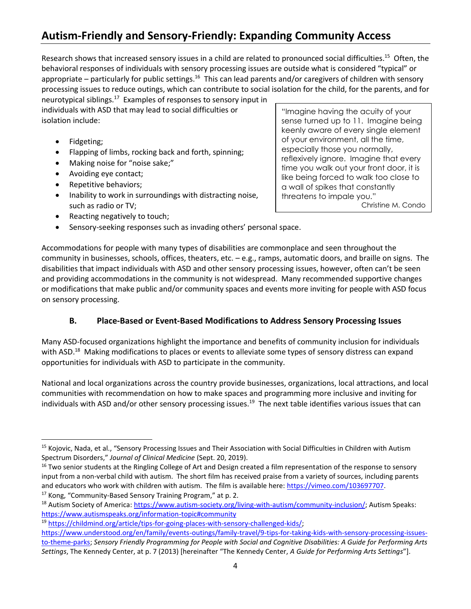Research shows that increased sensory issues in a child are related to pronounced social difficulties.<sup>15</sup> Often, the behavioral responses of individuals with sensory processing issues are outside what is considered "typical" or appropriate – particularly for public settings.<sup>16</sup> This can lead parents and/or caregivers of children with sensory processing issues to reduce outings, which can contribute to social isolation for the child, for the parents, and for neurotypical siblings.<sup>17</sup> Examples of responses to sensory input in

individuals with ASD that may lead to social difficulties or isolation include:

- Fidgeting;
- Flapping of limbs, rocking back and forth, spinning;
- Making noise for "noise sake;"
- Avoiding eye contact;
- Repetitive behaviors;
- Inability to work in surroundings with distracting noise, such as radio or TV;
- Reacting negatively to touch;
- Sensory-seeking responses such as invading others' personal space.

"Imagine having the acuity of your sense turned up to 11. Imagine being keenly aware of every single element of your environment, all the time, especially those you normally, reflexively ignore. Imagine that every time you walk out your front door, it is like being forced to walk too close to a wall of spikes that constantly threatens to impale you." Christine M. Condo

Accommodations for people with many types of disabilities are commonplace and seen throughout the community in businesses, schools, offices, theaters, etc. – e.g., ramps, automatic doors, and braille on signs. The disabilities that impact individuals with ASD and other sensory processing issues, however, often can't be seen and providing accommodations in the community is not widespread. Many recommended supportive changes or modifications that make public and/or community spaces and events more inviting for people with ASD focus on sensory processing.

#### **B. Place-Based or Event-Based Modifications to Address Sensory Processing Issues**

Many ASD-focused organizations highlight the importance and benefits of community inclusion for individuals with ASD.<sup>18</sup> Making modifications to places or events to alleviate some types of sensory distress can expand opportunities for individuals with ASD to participate in the community.

National and local organizations across the country provide businesses, organizations, local attractions, and local communities with recommendation on how to make spaces and programming more inclusive and inviting for individuals with ASD and/or other sensory processing issues.<sup>19</sup> The next table identifies various issues that can

<sup>17</sup> Kong, "Community-Based Sensory Training Program," at p. 2.

<sup>19</sup> [https://childmind.org/article/tips-for-going-places-with-sensory-challenged-kids/;](https://childmind.org/article/tips-for-going-places-with-sensory-challenged-kids/)

<sup>&</sup>lt;sup>15</sup> Kojovic, Nada, et al., "Sensory Processing Issues and Their Association with Social Difficulties in Children with Autism Spectrum Disorders," *Journal of Clinical Medicine* (Sept. 20, 2019).

<sup>&</sup>lt;sup>16</sup> Two senior students at the Ringling College of Art and Design created a film representation of the response to sensory input from a non-verbal child with autism. The short film has received praise from a variety of sources, including parents and educators who work with children with autism. The film is available here: [https://vimeo.com/103697707.](https://vimeo.com/103697707)

<sup>&</sup>lt;sup>18</sup> Autism Society of America: [https://www.autism-society.org/living-with-autism/community-inclusion/;](https://www.autism-society.org/living-with-autism/community-inclusion/) Autism Speaks: <https://www.autismspeaks.org/information-topic#community>

[https://www.understood.org/en/family/events-outings/family-travel/9-tips-for-taking-kids-with-sensory-processing-issues](https://www.understood.org/en/family/events-outings/family-travel/9-tips-for-taking-kids-with-sensory-processing-issues-to-theme-parks)[to-theme-parks;](https://www.understood.org/en/family/events-outings/family-travel/9-tips-for-taking-kids-with-sensory-processing-issues-to-theme-parks) *Sensory Friendly Programming for People with Social and Cognitive Disabilities: A Guide for Performing Arts Settings*, The Kennedy Center, at p. 7 (2013) [hereinafter "The Kennedy Center, *A Guide for Performing Arts Settings*"].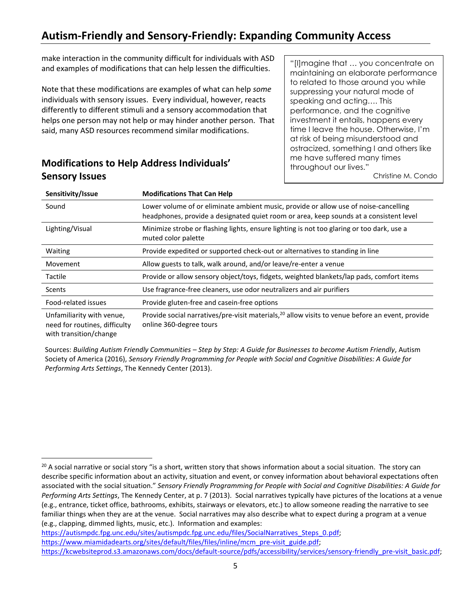make interaction in the community difficult for individuals with ASD and examples of modifications that can help lessen the difficulties.

Note that these modifications are examples of what can help *some* individuals with sensory issues. Every individual, however, reacts differently to different stimuli and a sensory accommodation that helps one person may not help or may hinder another person. That said, many ASD resources recommend similar modifications.

**Modifications to Help Address Individuals' Sensory Issues**

"[I]magine that … you concentrate on maintaining an elaborate performance to related to those around you while suppressing your natural mode of speaking and acting…. This performance, and the cognitive investment it entails, happens every time I leave the house. Otherwise, I'm at risk of being misunderstood and ostracized, something I and others like me have suffered many times throughout our lives."

Christine M. Condo

| Sensitivity/Issue                                          | <b>Modifications That Can Help</b>                                                                                                                                             |
|------------------------------------------------------------|--------------------------------------------------------------------------------------------------------------------------------------------------------------------------------|
| Sound                                                      | Lower volume of or eliminate ambient music, provide or allow use of noise-cancelling<br>headphones, provide a designated quiet room or area, keep sounds at a consistent level |
| Lighting/Visual                                            | Minimize strobe or flashing lights, ensure lighting is not too glaring or too dark, use a<br>muted color palette                                                               |
| Waiting                                                    | Provide expedited or supported check-out or alternatives to standing in line                                                                                                   |
| Movement                                                   | Allow guests to talk, walk around, and/or leave/re-enter a venue                                                                                                               |
| Tactile                                                    | Provide or allow sensory object/toys, fidgets, weighted blankets/lap pads, comfort items                                                                                       |
| <b>Scents</b>                                              | Use fragrance-free cleaners, use odor neutralizers and air purifiers                                                                                                           |
| Food-related issues                                        | Provide gluten-free and casein-free options                                                                                                                                    |
| Unfamiliarity with venue,<br>need for routines, difficulty | Provide social narratives/pre-visit materials, <sup>20</sup> allow visits to venue before an event, provide<br>online 360-degree tours                                         |

with transition/change

Sources: *Building Autism Friendly Communities – Step by Step: A Guide for Businesses to become Autism Friendly*, Autism Society of America (2016), *Sensory Friendly Programming for People with Social and Cognitive Disabilities: A Guide for Performing Arts Settings*, The Kennedy Center (2013).

[https://autismpdc.fpg.unc.edu/sites/autismpdc.fpg.unc.edu/files/SocialNarratives\\_Steps\\_0.pdf;](https://autismpdc.fpg.unc.edu/sites/autismpdc.fpg.unc.edu/files/SocialNarratives_Steps_0.pdf) [https://www.miamidadearts.org/sites/default/files/files/inline/mcm\\_pre-visit\\_guide.pdf;](https://www.miamidadearts.org/sites/default/files/files/inline/mcm_pre-visit_guide.pdf) [https://kcwebsiteprod.s3.amazonaws.com/docs/default-source/pdfs/accessibility/services/sensory-friendly\\_pre-visit\\_basic.pdf;](https://kcwebsiteprod.s3.amazonaws.com/docs/default-source/pdfs/accessibility/services/sensory-friendly_pre-visit_basic.pdf)

 $^{20}$  A social narrative or social story "is a short, written story that shows information about a social situation. The story can describe specific information about an activity, situation and event, or convey information about behavioral expectations often associated with the social situation." *Sensory Friendly Programming for People with Social and Cognitive Disabilities: A Guide for Performing Arts Settings*, The Kennedy Center, at p. 7 (2013). Social narratives typically have pictures of the locations at a venue (e.g., entrance, ticket office, bathrooms, exhibits, stairways or elevators, etc.) to allow someone reading the narrative to see familiar things when they are at the venue. Social narratives may also describe what to expect during a program at a venue (e.g., clapping, dimmed lights, music, etc.). Information and examples: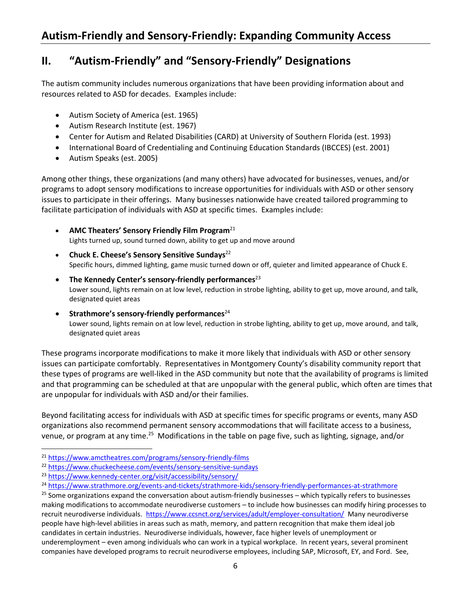# **II. "Autism-Friendly" and "Sensory-Friendly" Designations**

The autism community includes numerous organizations that have been providing information about and resources related to ASD for decades. Examples include:

- Autism Society of America (est. 1965)
- Autism Research Institute (est. 1967)
- Center for Autism and Related Disabilities (CARD) at University of Southern Florida (est. 1993)
- International Board of Credentialing and Continuing Education Standards (IBCCES) (est. 2001)
- Autism Speaks (est. 2005)

Among other things, these organizations (and many others) have advocated for businesses, venues, and/or programs to adopt sensory modifications to increase opportunities for individuals with ASD or other sensory issues to participate in their offerings. Many businesses nationwide have created tailored programming to facilitate participation of individuals with ASD at specific times. Examples include:

- **AMC Theaters' Sensory Friendly Film Program**<sup>21</sup> Lights turned up, sound turned down, ability to get up and move around
- **Chuck E. Cheese's Sensory Sensitive Sundays**<sup>22</sup> Specific hours, dimmed lighting, game music turned down or off, quieter and limited appearance of Chuck E.
- **The Kennedy Center's sensory-friendly performances**<sup>23</sup> Lower sound, lights remain on at low level, reduction in strobe lighting, ability to get up, move around, and talk, designated quiet areas
- **Strathmore's sensory-friendly performances**<sup>24</sup> Lower sound, lights remain on at low level, reduction in strobe lighting, ability to get up, move around, and talk, designated quiet areas

These programs incorporate modifications to make it more likely that individuals with ASD or other sensory issues can participate comfortably. Representatives in Montgomery County's disability community report that these types of programs are well-liked in the ASD community but note that the availability of programs is limited and that programming can be scheduled at that are unpopular with the general public, which often are times that are unpopular for individuals with ASD and/or their families.

Beyond facilitating access for individuals with ASD at specific times for specific programs or events, many ASD organizations also recommend permanent sensory accommodations that will facilitate access to a business, venue, or program at any time.<sup>25</sup> Modifications in the table on page five, such as lighting, signage, and/or

<sup>21</sup> <https://www.amctheatres.com/programs/sensory-friendly-films>

<sup>22</sup> <https://www.chuckecheese.com/events/sensory-sensitive-sundays>

<sup>23</sup> <https://www.kennedy-center.org/visit/accessibility/sensory/>

<sup>&</sup>lt;sup>24</sup> <https://www.strathmore.org/events-and-tickets/strathmore-kids/sensory-friendly-performances-at-strathmore>

 $25$  Some organizations expand the conversation about autism-friendly businesses – which typically refers to businesses making modifications to accommodate neurodiverse customers – to include how businesses can modify hiring processes to recruit neurodiverse individuals.<https://www.ccsnct.org/services/adult/employer-consultation/>Many neurodiverse people have high-level abilities in areas such as math, memory, and pattern recognition that make them ideal job candidates in certain industries. Neurodiverse individuals, however, face higher levels of unemployment or underemployment – even among individuals who can work in a typical workplace. In recent years, several prominent companies have developed programs to recruit neurodiverse employees, including SAP, Microsoft, EY, and Ford. See,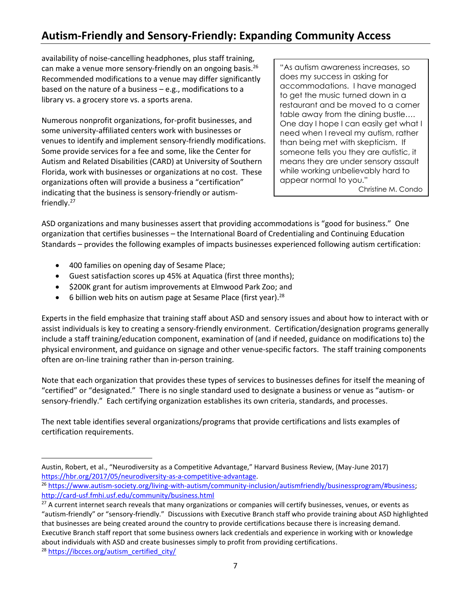availability of noise-cancelling headphones, plus staff training, can make a venue more sensory-friendly on an ongoing basis.<sup>26</sup> Recommended modifications to a venue may differ significantly based on the nature of a business – e.g., modifications to a library vs. a grocery store vs. a sports arena.

Numerous nonprofit organizations, for-profit businesses, and some university-affiliated centers work with businesses or venues to identify and implement sensory-friendly modifications. Some provide services for a fee and some, like the Center for Autism and Related Disabilities (CARD) at University of Southern Florida, work with businesses or organizations at no cost. These organizations often will provide a business a "certification" indicating that the business is sensory-friendly or autismfriendly.<sup>27</sup>

"As autism awareness increases, so does my success in asking for accommodations. I have managed to get the music turned down in a restaurant and be moved to a corner table away from the dining bustle…. One day I hope I can easily get what I need when I reveal my autism, rather than being met with skepticism. If someone tells you they are autistic, it means they are under sensory assault while working unbelievably hard to appear normal to you." Christine M. Condo

ASD organizations and many businesses assert that providing accommodations is "good for business." One organization that certifies businesses – the International Board of Credentialing and Continuing Education Standards – provides the following examples of impacts businesses experienced following autism certification:

- 400 families on opening day of Sesame Place;
- Guest satisfaction scores up 45% at Aquatica (first three months);
- \$200K grant for autism improvements at Elmwood Park Zoo; and
- 6 billion web hits on autism page at Sesame Place (first year).  $28$

Experts in the field emphasize that training staff about ASD and sensory issues and about how to interact with or assist individuals is key to creating a sensory-friendly environment. Certification/designation programs generally include a staff training/education component, examination of (and if needed, guidance on modifications to) the physical environment, and guidance on signage and other venue-specific factors. The staff training components often are on-line training rather than in-person training.

Note that each organization that provides these types of services to businesses defines for itself the meaning of "certified" or "designated." There is no single standard used to designate a business or venue as "autism- or sensory-friendly." Each certifying organization establishes its own criteria, standards, and processes.

The next table identifies several organizations/programs that provide certifications and lists examples of certification requirements.

Austin, Robert, et al., "Neurodiversity as a Competitive Advantage," Harvard Business Review, (May-June 2017) [https://hbr.org/2017/05/neurodiversity-as-a-competitive-advantage.](https://hbr.org/2017/05/neurodiversity-as-a-competitive-advantage)

<sup>&</sup>lt;sup>26</sup> [https://www.autism-society.org/living-with-autism/community-inclusion/autismfriendly/businessprogram/#business;](https://www.autism-society.org/living-with-autism/community-inclusion/autismfriendly/businessprogram/#business) <http://card-usf.fmhi.usf.edu/community/business.html>

<sup>&</sup>lt;sup>27</sup> A current internet search reveals that many organizations or companies will certify businesses, venues, or events as "autism-friendly" or "sensory-friendly." Discussions with Executive Branch staff who provide training about ASD highlighted that businesses are being created around the country to provide certifications because there is increasing demand. Executive Branch staff report that some business owners lack credentials and experience in working with or knowledge about individuals with ASD and create businesses simply to profit from providing certifications.

<sup>&</sup>lt;sup>28</sup> [https://ibcces.org/autism\\_certified\\_city/](https://ibcces.org/autism_certified_city/)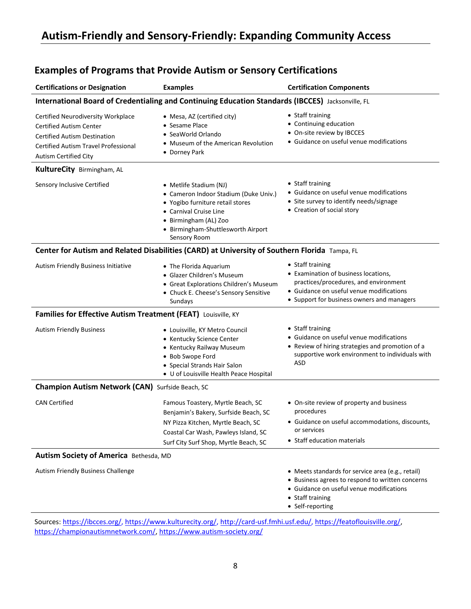| <b>Certifications or Designation</b>                                                                                                                                                       | <b>Examples</b>                                                                                                                                                                                              | <b>Certification Components</b>                                                                                                                                                             |
|--------------------------------------------------------------------------------------------------------------------------------------------------------------------------------------------|--------------------------------------------------------------------------------------------------------------------------------------------------------------------------------------------------------------|---------------------------------------------------------------------------------------------------------------------------------------------------------------------------------------------|
|                                                                                                                                                                                            | International Board of Credentialing and Continuing Education Standards (IBCCES) Jacksonville, FL                                                                                                            |                                                                                                                                                                                             |
| Certified Neurodiversity Workplace<br><b>Certified Autism Center</b><br><b>Certified Autism Destination</b><br><b>Certified Autism Travel Professional</b><br><b>Autism Certified City</b> | • Mesa, AZ (certified city)<br>• Sesame Place<br>• SeaWorld Orlando<br>• Museum of the American Revolution<br>• Dorney Park                                                                                  | • Staff training<br>• Continuing education<br>• On-site review by IBCCES<br>• Guidance on useful venue modifications                                                                        |
| KultureCity Birmingham, AL                                                                                                                                                                 |                                                                                                                                                                                                              |                                                                                                                                                                                             |
| Sensory Inclusive Certified                                                                                                                                                                | • Metlife Stadium (NJ)<br>• Cameron Indoor Stadium (Duke Univ.)<br>• Yogibo furniture retail stores<br>• Carnival Cruise Line<br>• Birmingham (AL) Zoo<br>• Birmingham-Shuttlesworth Airport<br>Sensory Room | • Staff training<br>• Guidance on useful venue modifications<br>• Site survey to identify needs/signage<br>• Creation of social story                                                       |
|                                                                                                                                                                                            | Center for Autism and Related Disabilities (CARD) at University of Southern Florida Tampa, FL                                                                                                                |                                                                                                                                                                                             |
| Autism Friendly Business Initiative                                                                                                                                                        | • The Florida Aquarium<br>• Glazer Children's Museum<br>• Great Explorations Children's Museum<br>• Chuck E. Cheese's Sensory Sensitive<br>Sundays                                                           | • Staff training<br>• Examination of business locations,<br>practices/procedures, and environment<br>• Guidance on useful venue modifications<br>• Support for business owners and managers |
| Families for Effective Autism Treatment (FEAT) Louisville, KY                                                                                                                              |                                                                                                                                                                                                              |                                                                                                                                                                                             |
| <b>Autism Friendly Business</b>                                                                                                                                                            | • Louisville, KY Metro Council<br>• Kentucky Science Center<br>• Kentucky Railway Museum<br>• Bob Swope Ford<br>• Special Strands Hair Salon<br>• U of Louisville Health Peace Hospital                      | • Staff training<br>• Guidance on useful venue modifications<br>• Review of hiring strategies and promotion of a<br>supportive work environment to individuals with<br><b>ASD</b>           |
| <b>Champion Autism Network (CAN)</b> Surfside Beach, SC                                                                                                                                    |                                                                                                                                                                                                              |                                                                                                                                                                                             |
| <b>CAN Certified</b>                                                                                                                                                                       | Famous Toastery, Myrtle Beach, SC<br>Benjamin's Bakery, Surfside Beach, SC<br>NY Pizza Kitchen, Myrtle Beach, SC<br>Coastal Car Wash, Pawleys Island, SC<br>Surf City Surf Shop, Myrtle Beach, SC            | • On-site review of property and business<br>procedures<br>• Guidance on useful accommodations, discounts,<br>or services<br>• Staff education materials                                    |
| Autism Society of America Bethesda, MD                                                                                                                                                     |                                                                                                                                                                                                              |                                                                                                                                                                                             |
| Autism Friendly Business Challenge                                                                                                                                                         |                                                                                                                                                                                                              | • Meets standards for service area (e.g., retail)<br>• Business agrees to respond to written concerns<br>• Guidance on useful venue modifications<br>• Staff training<br>• Self-reporting   |

### **Examples of Programs that Provide Autism or Sensory Certifications**

Sources: [https://ibcces.org/,](https://ibcces.org/) [https://www.kulturecity.org/,](https://www.kulturecity.org/) [http://card-usf.fmhi.usf.edu/,](http://card-usf.fmhi.usf.edu/) [https://featoflouisville.org/,](https://featoflouisville.org/) [https://championautismnetwork.com/,](https://championautismnetwork.com/)<https://www.autism-society.org/>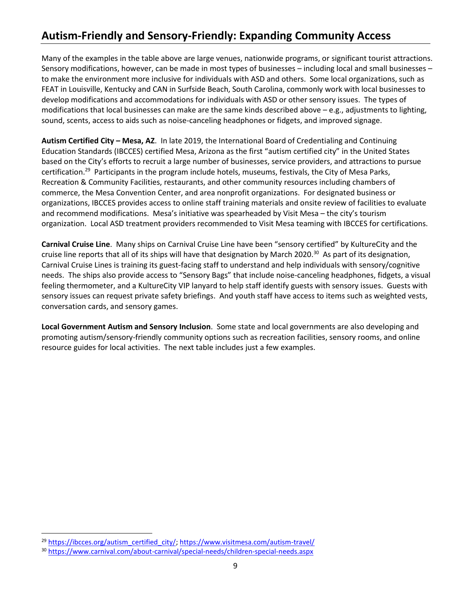Many of the examples in the table above are large venues, nationwide programs, or significant tourist attractions. Sensory modifications, however, can be made in most types of businesses – including local and small businesses – to make the environment more inclusive for individuals with ASD and others. Some local organizations, such as FEAT in Louisville, Kentucky and CAN in Surfside Beach, South Carolina, commonly work with local businesses to develop modifications and accommodations for individuals with ASD or other sensory issues. The types of modifications that local businesses can make are the same kinds described above – e.g., adjustments to lighting, sound, scents, access to aids such as noise-canceling headphones or fidgets, and improved signage.

**Autism Certified City – Mesa, AZ**. In late 2019, the International Board of Credentialing and Continuing Education Standards (IBCCES) certified Mesa, Arizona as the first "autism certified city" in the United States based on the City's efforts to recruit a large number of businesses, service providers, and attractions to pursue certification.<sup>29</sup> Participants in the program include hotels, museums, festivals, the City of Mesa Parks, Recreation & Community Facilities, restaurants, and other community resources including chambers of commerce, the Mesa Convention Center, and area nonprofit organizations. For designated business or organizations, IBCCES provides access to online staff training materials and onsite review of facilities to evaluate and recommend modifications. Mesa's initiative was spearheaded by Visit Mesa – the city's tourism organization. Local ASD treatment providers recommended to Visit Mesa teaming with IBCCES for certifications.

**Carnival Cruise Line**. Many ships on Carnival Cruise Line have been "sensory certified" by KultureCity and the cruise line reports that all of its ships will have that designation by March 2020.<sup>30</sup> As part of its designation, Carnival Cruise Lines is training its guest-facing staff to understand and help individuals with sensory/cognitive needs. The ships also provide access to "Sensory Bags" that include noise-canceling headphones, fidgets, a visual feeling thermometer, and a KultureCity VIP lanyard to help staff identify guests with sensory issues. Guests with sensory issues can request private safety briefings. And youth staff have access to items such as weighted vests, conversation cards, and sensory games.

**Local Government Autism and Sensory Inclusion**. Some state and local governments are also developing and promoting autism/sensory-friendly community options such as recreation facilities, sensory rooms, and online resource guides for local activities. The next table includes just a few examples.

<sup>&</sup>lt;sup>29</sup> [https://ibcces.org/autism\\_certified\\_city/;](https://ibcces.org/autism_certified_city/)<https://www.visitmesa.com/autism-travel/>

<sup>30</sup> <https://www.carnival.com/about-carnival/special-needs/children-special-needs.aspx>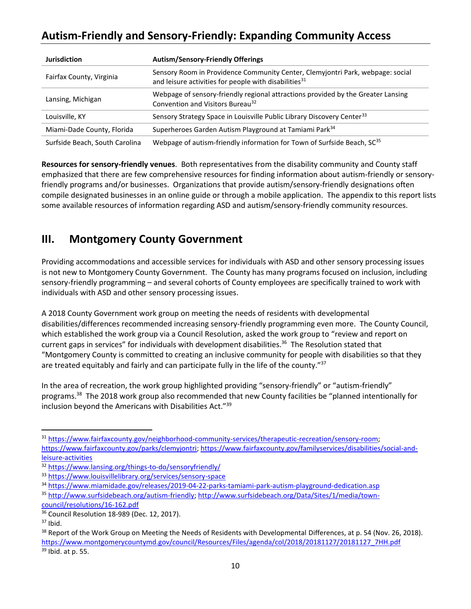| <b>Jurisdiction</b>            | <b>Autism/Sensory-Friendly Offerings</b>                                                                                                            |
|--------------------------------|-----------------------------------------------------------------------------------------------------------------------------------------------------|
| Fairfax County, Virginia       | Sensory Room in Providence Community Center, Clemyjontri Park, webpage: social<br>and leisure activities for people with disabilities <sup>31</sup> |
| Lansing, Michigan              | Webpage of sensory-friendly regional attractions provided by the Greater Lansing<br>Convention and Visitors Bureau <sup>32</sup>                    |
| Louisville, KY                 | Sensory Strategy Space in Louisville Public Library Discovery Center <sup>33</sup>                                                                  |
| Miami-Dade County, Florida     | Superheroes Garden Autism Playground at Tamiami Park <sup>34</sup>                                                                                  |
| Surfside Beach, South Carolina | Webpage of autism-friendly information for Town of Surfside Beach, SC <sup>35</sup>                                                                 |

**Resources for sensory-friendly venues**. Both representatives from the disability community and County staff emphasized that there are few comprehensive resources for finding information about autism-friendly or sensoryfriendly programs and/or businesses. Organizations that provide autism/sensory-friendly designations often compile designated businesses in an online guide or through a mobile application. The appendix to this report lists some available resources of information regarding ASD and autism/sensory-friendly community resources.

### **III. Montgomery County Government**

Providing accommodations and accessible services for individuals with ASD and other sensory processing issues is not new to Montgomery County Government. The County has many programs focused on inclusion, including sensory-friendly programming – and several cohorts of County employees are specifically trained to work with individuals with ASD and other sensory processing issues.

A 2018 County Government work group on meeting the needs of residents with developmental disabilities/differences recommended increasing sensory-friendly programming even more. The County Council, which established the work group via a Council Resolution, asked the work group to "review and report on current gaps in services" for individuals with development disabilities.<sup>36</sup> The Resolution stated that "Montgomery County is committed to creating an inclusive community for people with disabilities so that they are treated equitably and fairly and can participate fully in the life of the county." $37$ 

In the area of recreation, the work group highlighted providing "sensory-friendly" or "autism-friendly" programs. 38 The 2018 work group also recommended that new County facilities be "planned intentionally for inclusion beyond the Americans with Disabilities Act."<sup>39</sup>

<sup>31</sup> [https://www.fairfaxcounty.gov/neighborhood-community-services/therapeutic-recreation/sensory-room;](https://www.fairfaxcounty.gov/neighborhood-community-services/therapeutic-recreation/sensory-room) [https://www.fairfaxcounty.gov/parks/clemyjontri;](https://www.fairfaxcounty.gov/parks/clemyjontri) [https://www.fairfaxcounty.gov/familyservices/disabilities/social-and](https://www.fairfaxcounty.gov/familyservices/disabilities/social-and-leisure-activities)[leisure-activities](https://www.fairfaxcounty.gov/familyservices/disabilities/social-and-leisure-activities)

<sup>32</sup> <https://www.lansing.org/things-to-do/sensoryfriendly/>

<sup>33</sup> <https://www.louisvillelibrary.org/services/sensory-space>

<sup>34</sup> <https://www.miamidade.gov/releases/2019-04-22-parks-tamiami-park-autism-playground-dedication.asp>

<sup>35</sup> [http://www.surfsidebeach.org/autism-friendly;](http://www.surfsidebeach.org/autism-friendly) [http://www.surfsidebeach.org/Data/Sites/1/media/town](http://www.surfsidebeach.org/Data/Sites/1/media/town-council/resolutions/16-162.pdf)[council/resolutions/16-162.pdf](http://www.surfsidebeach.org/Data/Sites/1/media/town-council/resolutions/16-162.pdf)

<sup>36</sup> Council Resolution 18-989 (Dec. 12, 2017).

<sup>37</sup> Ibid.

<sup>&</sup>lt;sup>38</sup> Report of the Work Group on Meeting the Needs of Residents with Developmental Differences, at p. 54 (Nov. 26, 2018). [https://www.montgomerycountymd.gov/council/Resources/Files/agenda/col/2018/20181127/20181127\\_7HH.pdf](https://www.montgomerycountymd.gov/council/Resources/Files/agenda/col/2018/20181127/20181127_7HH.pdf)

 $39$  Ibid. at p. 55.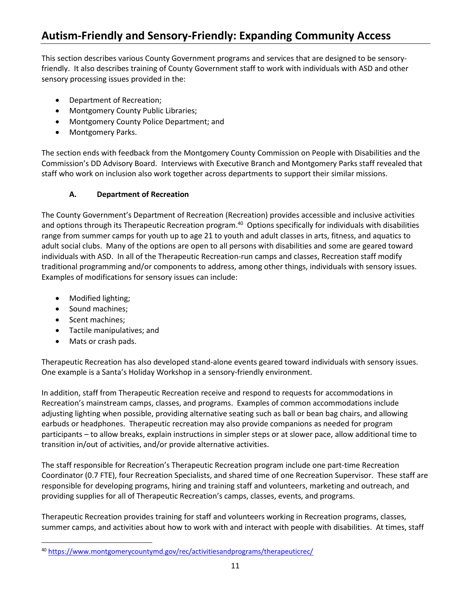This section describes various County Government programs and services that are designed to be sensoryfriendly. It also describes training of County Government staff to work with individuals with ASD and other sensory processing issues provided in the:

- Department of Recreation;
- Montgomery County Public Libraries;
- Montgomery County Police Department; and
- Montgomery Parks.

The section ends with feedback from the Montgomery County Commission on People with Disabilities and the Commission's DD Advisory Board. Interviews with Executive Branch and Montgomery Parks staff revealed that staff who work on inclusion also work together across departments to support their similar missions.

#### **A. Department of Recreation**

The County Government's Department of Recreation (Recreation) provides accessible and inclusive activities and options through its Therapeutic Recreation program.<sup>40</sup> Options specifically for individuals with disabilities range from summer camps for youth up to age 21 to youth and adult classes in arts, fitness, and aquatics to adult social clubs. Many of the options are open to all persons with disabilities and some are geared toward individuals with ASD. In all of the Therapeutic Recreation-run camps and classes, Recreation staff modify traditional programming and/or components to address, among other things, individuals with sensory issues. Examples of modifications for sensory issues can include:

- Modified lighting;
- Sound machines;
- Scent machines;
- Tactile manipulatives; and
- Mats or crash pads.

Therapeutic Recreation has also developed stand-alone events geared toward individuals with sensory issues. One example is a Santa's Holiday Workshop in a sensory-friendly environment.

In addition, staff from Therapeutic Recreation receive and respond to requests for accommodations in Recreation's mainstream camps, classes, and programs. Examples of common accommodations include adjusting lighting when possible, providing alternative seating such as ball or bean bag chairs, and allowing earbuds or headphones. Therapeutic recreation may also provide companions as needed for program participants – to allow breaks, explain instructions in simpler steps or at slower pace, allow additional time to transition in/out of activities, and/or provide alternative activities.

The staff responsible for Recreation's Therapeutic Recreation program include one part-time Recreation Coordinator (0.7 FTE), four Recreation Specialists, and shared time of one Recreation Supervisor. These staff are responsible for developing programs, hiring and training staff and volunteers, marketing and outreach, and providing supplies for all of Therapeutic Recreation's camps, classes, events, and programs.

Therapeutic Recreation provides training for staff and volunteers working in Recreation programs, classes, summer camps, and activities about how to work with and interact with people with disabilities. At times, staff

<sup>40</sup> <https://www.montgomerycountymd.gov/rec/activitiesandprograms/therapeuticrec/>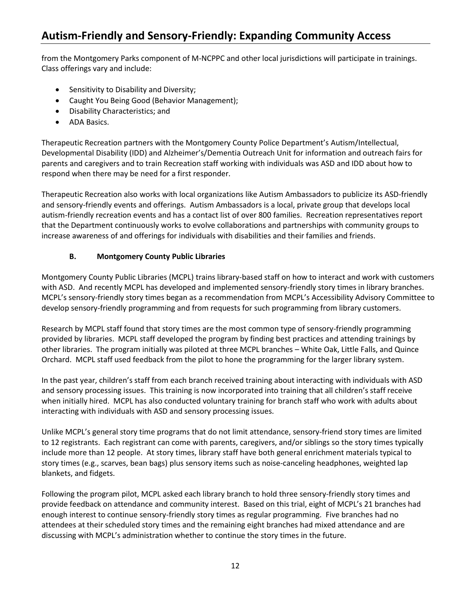from the Montgomery Parks component of M-NCPPC and other local jurisdictions will participate in trainings. Class offerings vary and include:

- Sensitivity to Disability and Diversity;
- Caught You Being Good (Behavior Management);
- Disability Characteristics; and
- ADA Basics.

Therapeutic Recreation partners with the Montgomery County Police Department's Autism/Intellectual, Developmental Disability (IDD) and Alzheimer's/Dementia Outreach Unit for information and outreach fairs for parents and caregivers and to train Recreation staff working with individuals was ASD and IDD about how to respond when there may be need for a first responder.

Therapeutic Recreation also works with local organizations like Autism Ambassadors to publicize its ASD-friendly and sensory-friendly events and offerings. Autism Ambassadors is a local, private group that develops local autism-friendly recreation events and has a contact list of over 800 families. Recreation representatives report that the Department continuously works to evolve collaborations and partnerships with community groups to increase awareness of and offerings for individuals with disabilities and their families and friends.

#### **B. Montgomery County Public Libraries**

Montgomery County Public Libraries (MCPL) trains library-based staff on how to interact and work with customers with ASD. And recently MCPL has developed and implemented sensory-friendly story times in library branches. MCPL's sensory-friendly story times began as a recommendation from MCPL's Accessibility Advisory Committee to develop sensory-friendly programming and from requests for such programming from library customers.

Research by MCPL staff found that story times are the most common type of sensory-friendly programming provided by libraries. MCPL staff developed the program by finding best practices and attending trainings by other libraries. The program initially was piloted at three MCPL branches – White Oak, Little Falls, and Quince Orchard. MCPL staff used feedback from the pilot to hone the programming for the larger library system.

In the past year, children's staff from each branch received training about interacting with individuals with ASD and sensory processing issues. This training is now incorporated into training that all children's staff receive when initially hired. MCPL has also conducted voluntary training for branch staff who work with adults about interacting with individuals with ASD and sensory processing issues.

Unlike MCPL's general story time programs that do not limit attendance, sensory-friend story times are limited to 12 registrants. Each registrant can come with parents, caregivers, and/or siblings so the story times typically include more than 12 people. At story times, library staff have both general enrichment materials typical to story times (e.g., scarves, bean bags) plus sensory items such as noise-canceling headphones, weighted lap blankets, and fidgets.

Following the program pilot, MCPL asked each library branch to hold three sensory-friendly story times and provide feedback on attendance and community interest. Based on this trial, eight of MCPL's 21 branches had enough interest to continue sensory-friendly story times as regular programming. Five branches had no attendees at their scheduled story times and the remaining eight branches had mixed attendance and are discussing with MCPL's administration whether to continue the story times in the future.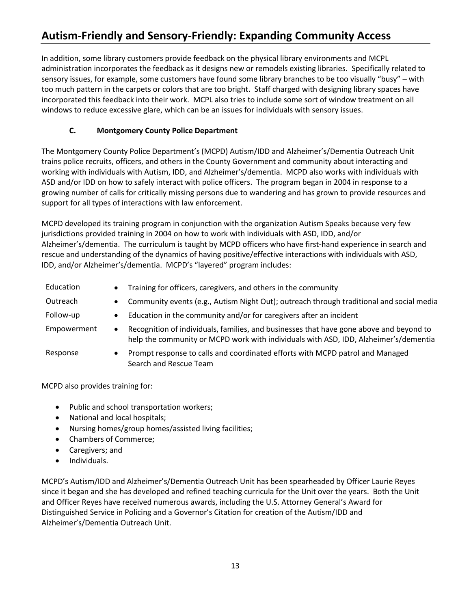In addition, some library customers provide feedback on the physical library environments and MCPL administration incorporates the feedback as it designs new or remodels existing libraries. Specifically related to sensory issues, for example, some customers have found some library branches to be too visually "busy" – with too much pattern in the carpets or colors that are too bright. Staff charged with designing library spaces have incorporated this feedback into their work. MCPL also tries to include some sort of window treatment on all windows to reduce excessive glare, which can be an issues for individuals with sensory issues.

#### **C. Montgomery County Police Department**

The Montgomery County Police Department's (MCPD) Autism/IDD and Alzheimer's/Dementia Outreach Unit trains police recruits, officers, and others in the County Government and community about interacting and working with individuals with Autism, IDD, and Alzheimer's/dementia. MCPD also works with individuals with ASD and/or IDD on how to safely interact with police officers. The program began in 2004 in response to a growing number of calls for critically missing persons due to wandering and has grown to provide resources and support for all types of interactions with law enforcement.

MCPD developed its training program in conjunction with the organization Autism Speaks because very few jurisdictions provided training in 2004 on how to work with individuals with ASD, IDD, and/or Alzheimer's/dementia. The curriculum is taught by MCPD officers who have first-hand experience in search and rescue and understanding of the dynamics of having positive/effective interactions with individuals with ASD, IDD, and/or Alzheimer's/dementia. MCPD's "layered" program includes:

| Education   | Training for officers, caregivers, and others in the community                                                                                                                  |
|-------------|---------------------------------------------------------------------------------------------------------------------------------------------------------------------------------|
| Outreach    | Community events (e.g., Autism Night Out); outreach through traditional and social media                                                                                        |
| Follow-up   | Education in the community and/or for caregivers after an incident                                                                                                              |
| Empowerment | Recognition of individuals, families, and businesses that have gone above and beyond to<br>help the community or MCPD work with individuals with ASD, IDD, Alzheimer's/dementia |
| Response    | Prompt response to calls and coordinated efforts with MCPD patrol and Managed<br>Search and Rescue Team                                                                         |

MCPD also provides training for:

- Public and school transportation workers;
- National and local hospitals;
- Nursing homes/group homes/assisted living facilities;
- Chambers of Commerce;
- Caregivers; and
- Individuals.

MCPD's Autism/IDD and Alzheimer's/Dementia Outreach Unit has been spearheaded by Officer Laurie Reyes since it began and she has developed and refined teaching curricula for the Unit over the years. Both the Unit and Officer Reyes have received numerous awards, including the U.S. Attorney General's Award for Distinguished Service in Policing and a Governor's Citation for creation of the Autism/IDD and Alzheimer's/Dementia Outreach Unit.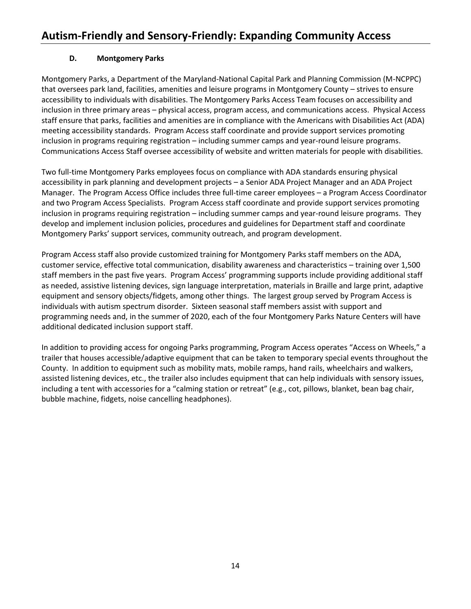#### **D. Montgomery Parks**

Montgomery Parks, a Department of the Maryland-National Capital Park and Planning Commission (M-NCPPC) that oversees park land, facilities, amenities and leisure programs in Montgomery County – strives to ensure accessibility to individuals with disabilities. The Montgomery Parks Access Team focuses on accessibility and inclusion in three primary areas – physical access, program access, and communications access. Physical Access staff ensure that parks, facilities and amenities are in compliance with the Americans with Disabilities Act (ADA) meeting accessibility standards. Program Access staff coordinate and provide support services promoting inclusion in programs requiring registration – including summer camps and year-round leisure programs. Communications Access Staff oversee accessibility of website and written materials for people with disabilities.

Two full-time Montgomery Parks employees focus on compliance with ADA standards ensuring physical accessibility in park planning and development projects – a Senior ADA Project Manager and an ADA Project Manager. The Program Access Office includes three full-time career employees – a Program Access Coordinator and two Program Access Specialists. Program Access staff coordinate and provide support services promoting inclusion in programs requiring registration – including summer camps and year-round leisure programs. They develop and implement inclusion policies, procedures and guidelines for Department staff and coordinate Montgomery Parks' support services, community outreach, and program development.

Program Access staff also provide customized training for Montgomery Parks staff members on the ADA, customer service, effective total communication, disability awareness and characteristics – training over 1,500 staff members in the past five years. Program Access' programming supports include providing additional staff as needed, assistive listening devices, sign language interpretation, materials in Braille and large print, adaptive equipment and sensory objects/fidgets, among other things. The largest group served by Program Access is individuals with autism spectrum disorder. Sixteen seasonal staff members assist with support and programming needs and, in the summer of 2020, each of the four Montgomery Parks Nature Centers will have additional dedicated inclusion support staff.

In addition to providing access for ongoing Parks programming, Program Access operates "Access on Wheels," a trailer that houses accessible/adaptive equipment that can be taken to temporary special events throughout the County. In addition to equipment such as mobility mats, mobile ramps, hand rails, wheelchairs and walkers, assisted listening devices, etc., the trailer also includes equipment that can help individuals with sensory issues, including a tent with accessories for a "calming station or retreat" (e.g., cot, pillows, blanket, bean bag chair, bubble machine, fidgets, noise cancelling headphones).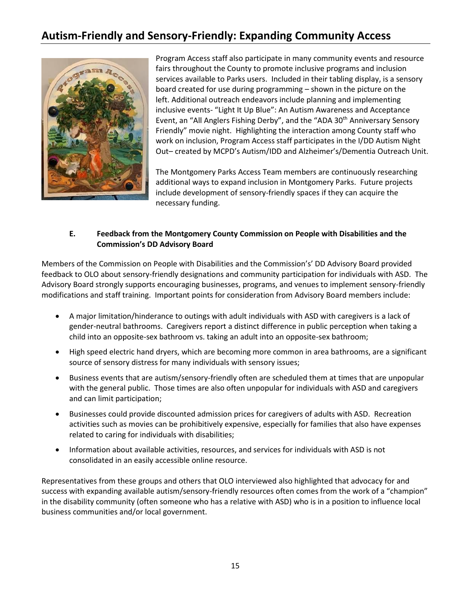

Program Access staff also participate in many community events and resource fairs throughout the County to promote inclusive programs and inclusion services available to Parks users. Included in their tabling display, is a sensory board created for use during programming – shown in the picture on the left. Additional outreach endeavors include planning and implementing inclusive events- "Light It Up Blue": An Autism Awareness and Acceptance Event, an "All Anglers Fishing Derby", and the "ADA 30<sup>th</sup> Anniversary Sensory Friendly" movie night. Highlighting the interaction among County staff who work on inclusion, Program Access staff participates in the I/DD Autism Night Out– created by MCPD's Autism/IDD and Alzheimer's/Dementia Outreach Unit.

The Montgomery Parks Access Team members are continuously researching additional ways to expand inclusion in Montgomery Parks. Future projects include development of sensory-friendly spaces if they can acquire the necessary funding.

#### **E. Feedback from the Montgomery County Commission on People with Disabilities and the Commission's DD Advisory Board**

Members of the Commission on People with Disabilities and the Commission's' DD Advisory Board provided feedback to OLO about sensory-friendly designations and community participation for individuals with ASD. The Advisory Board strongly supports encouraging businesses, programs, and venues to implement sensory-friendly modifications and staff training. Important points for consideration from Advisory Board members include:

- A major limitation/hinderance to outings with adult individuals with ASD with caregivers is a lack of gender-neutral bathrooms. Caregivers report a distinct difference in public perception when taking a child into an opposite-sex bathroom vs. taking an adult into an opposite-sex bathroom;
- High speed electric hand dryers, which are becoming more common in area bathrooms, are a significant source of sensory distress for many individuals with sensory issues;
- Business events that are autism/sensory-friendly often are scheduled them at times that are unpopular with the general public. Those times are also often unpopular for individuals with ASD and caregivers and can limit participation;
- Businesses could provide discounted admission prices for caregivers of adults with ASD. Recreation activities such as movies can be prohibitively expensive, especially for families that also have expenses related to caring for individuals with disabilities;
- Information about available activities, resources, and services for individuals with ASD is not consolidated in an easily accessible online resource.

Representatives from these groups and others that OLO interviewed also highlighted that advocacy for and success with expanding available autism/sensory-friendly resources often comes from the work of a "champion" in the disability community (often someone who has a relative with ASD) who is in a position to influence local business communities and/or local government.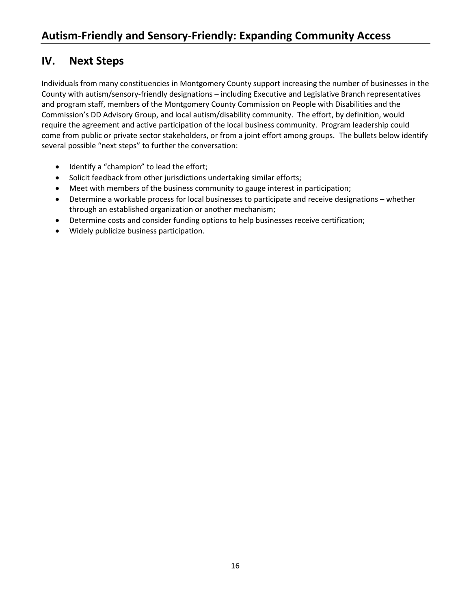### **IV. Next Steps**

Individuals from many constituencies in Montgomery County support increasing the number of businesses in the County with autism/sensory-friendly designations – including Executive and Legislative Branch representatives and program staff, members of the Montgomery County Commission on People with Disabilities and the Commission's DD Advisory Group, and local autism/disability community. The effort, by definition, would require the agreement and active participation of the local business community. Program leadership could come from public or private sector stakeholders, or from a joint effort among groups. The bullets below identify several possible "next steps" to further the conversation:

- Identify a "champion" to lead the effort;
- Solicit feedback from other jurisdictions undertaking similar efforts;
- Meet with members of the business community to gauge interest in participation;
- Determine a workable process for local businesses to participate and receive designations whether through an established organization or another mechanism;
- Determine costs and consider funding options to help businesses receive certification;
- Widely publicize business participation.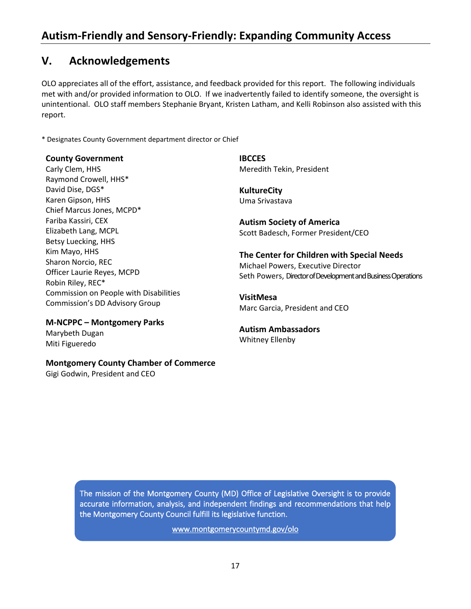### **V. Acknowledgements**

OLO appreciates all of the effort, assistance, and feedback provided for this report. The following individuals met with and/or provided information to OLO. If we inadvertently failed to identify someone, the oversight is unintentional. OLO staff members Stephanie Bryant, Kristen Latham, and Kelli Robinson also assisted with this report.

\* Designates County Government department director or Chief

#### **County Government**

Carly Clem, HHS Raymond Crowell, HHS\* David Dise, DGS\* Karen Gipson, HHS Chief Marcus Jones, MCPD\* Fariba Kassiri, CEX Elizabeth Lang, MCPL Betsy Luecking, HHS Kim Mayo, HHS Sharon Norcio, REC Officer Laurie Reyes, MCPD Robin Riley, REC\* Commission on People with Disabilities Commission's DD Advisory Group

**M-NCPPC – Montgomery Parks** Marybeth Dugan Miti Figueredo

#### **Montgomery County Chamber of Commerce**

Gigi Godwin, President and CEO

**IBCCES** Meredith Tekin, President

**KultureCity** Uma Srivastava

**Autism Society of America** Scott Badesch, Former President/CEO

**The Center for Children with Special Needs** Michael Powers, Executive Director Seth Powers, Director of Development and Business Operations

**VisitMesa** Marc Garcia, President and CEO

**Autism Ambassadors** Whitney Ellenby

The mission of the Montgomery County (MD) Office of Legislative Oversight is to provide accurate information, analysis, and independent findings and recommendations that help the Montgomery County Council fulfill its legislative function.

[www.montgomerycountymd.gov/olo](http://www.montgomerycountymd.gov/olo)